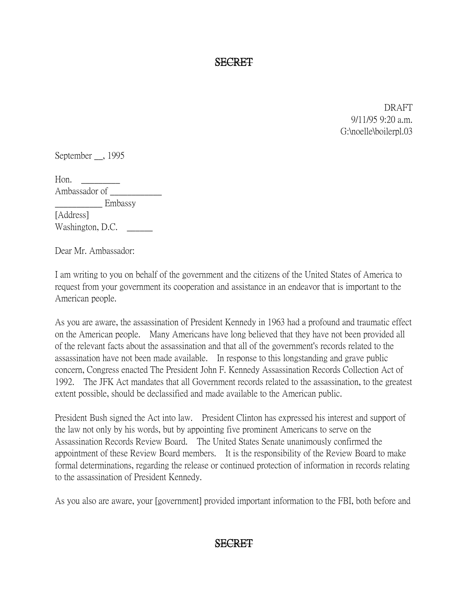SECRET

DRAFT 9/11/95 9:20 a.m. G:\noelle\boilerpl.03

September , 1995

Hon.  $\qquad \qquad$ Ambassador of  $\overline{\phantom{a}}$ \_\_\_\_\_\_\_\_\_\_\_ Embassy [Address] Washington, D.C.

Dear Mr. Ambassador:

I am writing to you on behalf of the government and the citizens of the United States of America to request from your government its cooperation and assistance in an endeavor that is important to the American people.

As you are aware, the assassination of President Kennedy in 1963 had a profound and traumatic effect on the American people. Many Americans have long believed that they have not been provided all of the relevant facts about the assassination and that all of the government's records related to the assassination have not been made available. In response to this longstanding and grave public concern, Congress enacted The President John F. Kennedy Assassination Records Collection Act of 1992. The JFK Act mandates that all Government records related to the assassination, to the greatest extent possible, should be declassified and made available to the American public.

President Bush signed the Act into law. President Clinton has expressed his interest and support of the law not only by his words, but by appointing five prominent Americans to serve on the Assassination Records Review Board. The United States Senate unanimously confirmed the appointment of these Review Board members. It is the responsibility of the Review Board to make formal determinations, regarding the release or continued protection of information in records relating to the assassination of President Kennedy.

As you also are aware, your [government] provided important information to the FBI, both before and

## SECRET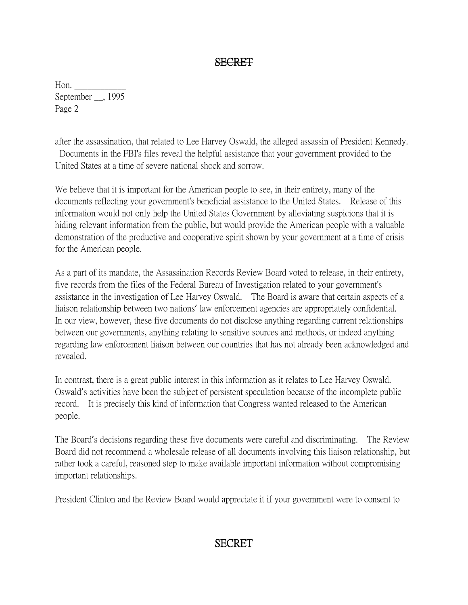## SECRET

Hon. September \_\_, 1995 Page 2

after the assassination, that related to Lee Harvey Oswald, the alleged assassin of President Kennedy. Documents in the FBI's files reveal the helpful assistance that your government provided to the United States at a time of severe national shock and sorrow.

We believe that it is important for the American people to see, in their entirety, many of the documents reflecting your government's beneficial assistance to the United States. Release of this information would not only help the United States Government by alleviating suspicions that it is hiding relevant information from the public, but would provide the American people with a valuable demonstration of the productive and cooperative spirit shown by your government at a time of crisis for the American people.

As a part of its mandate, the Assassination Records Review Board voted to release, in their entirety, five records from the files of the Federal Bureau of Investigation related to your government's assistance in the investigation of Lee Harvey Oswald. The Board is aware that certain aspects of a liaison relationship between two nations' law enforcement agencies are appropriately confidential. In our view, however, these five documents do not disclose anything regarding current relationships between our governments, anything relating to sensitive sources and methods, or indeed anything regarding law enforcement liaison between our countries that has not already been acknowledged and revealed.

In contrast, there is a great public interest in this information as it relates to Lee Harvey Oswald. Oswald's activities have been the subject of persistent speculation because of the incomplete public record. It is precisely this kind of information that Congress wanted released to the American people.

The Board's decisions regarding these five documents were careful and discriminating. The Review Board did not recommend a wholesale release of all documents involving this liaison relationship, but rather took a careful, reasoned step to make available important information without compromising important relationships.

President Clinton and the Review Board would appreciate it if your government were to consent to

## SECRET